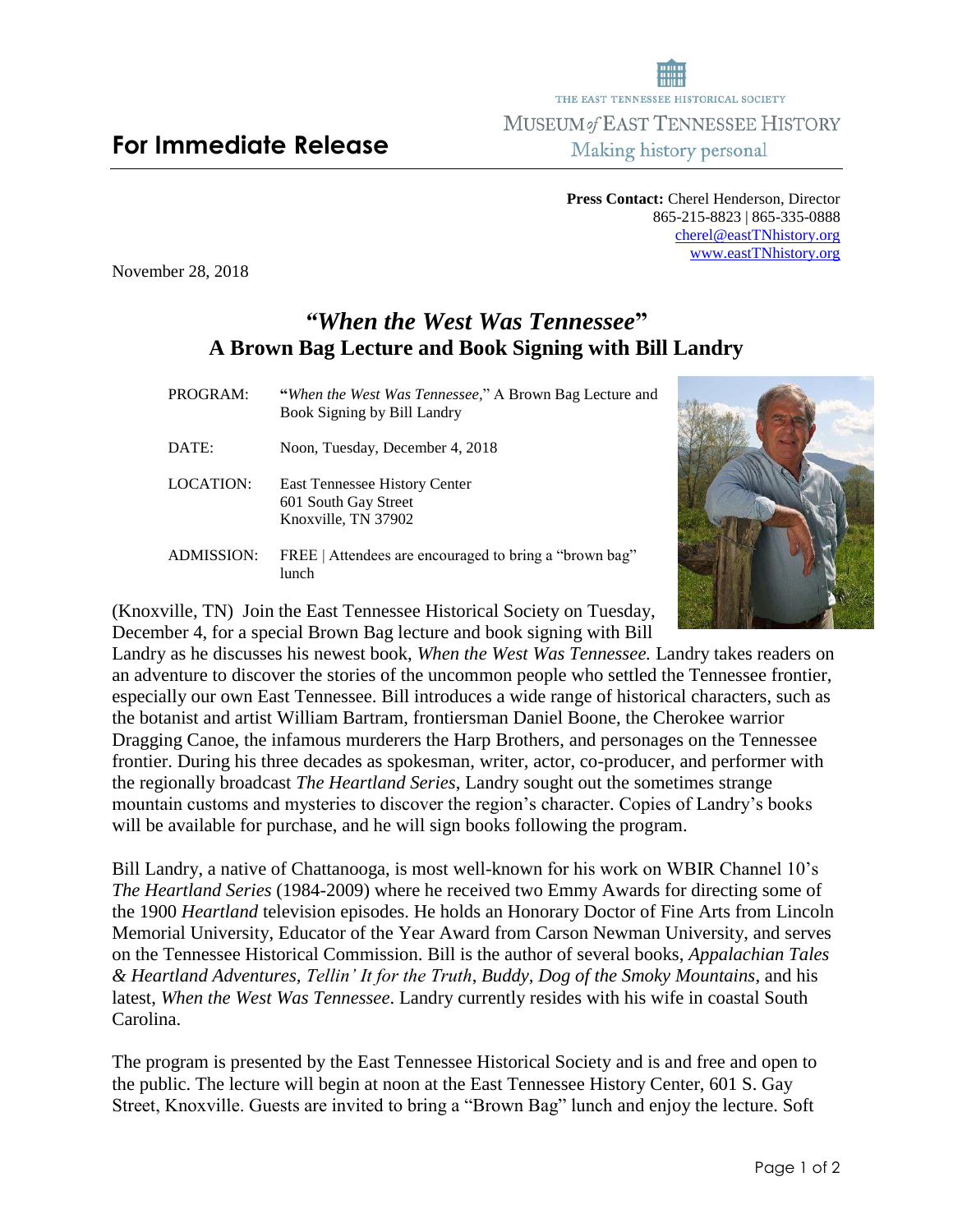## **For Immediate Release**

**Press Contact:** Cherel Henderson, Director 865-215-8823 | 865-335-0888 [cherel@eastTNhistory.org](mailto:cherel@eastTNhistory.org) [www.eastTNhistory.org](http://www.easttnhistory.org/)

THE EAST TENNESSEE HISTORICAL SOCIETY **MUSEUM of EAST TENNESSEE HISTORY** Making history personal

November 28, 2018

## *"When the West Was Tennessee***" A Brown Bag Lecture and Book Signing with Bill Landry**

| PROGRAM:   | "When the West Was Tennessee," A Brown Bag Lecture and<br>Book Signing by Bill Landry |
|------------|---------------------------------------------------------------------------------------|
| DATE:      | Noon, Tuesday, December 4, 2018                                                       |
| LOCATION:  | East Tennessee History Center<br>601 South Gay Street<br>Knoxville, TN 37902          |
| ADMISSION: | FREE   Attendees are encouraged to bring a "brown bag"                                |

(Knoxville, TN) Join the East Tennessee Historical Society on Tuesday, December 4, for a special Brown Bag lecture and book signing with Bill

lunch

Landry as he discusses his newest book, *When the West Was Tennessee.* Landry takes readers on an adventure to discover the stories of the uncommon people who settled the Tennessee frontier, especially our own East Tennessee. Bill introduces a wide range of historical characters, such as the botanist and artist William Bartram, frontiersman Daniel Boone, the Cherokee warrior Dragging Canoe, the infamous murderers the Harp Brothers, and personages on the Tennessee frontier. During his three decades as spokesman, writer, actor, co-producer, and performer with the regionally broadcast *The Heartland Series*, Landry sought out the sometimes strange mountain customs and mysteries to discover the region's character. Copies of Landry's books will be available for purchase, and he will sign books following the program.

Bill Landry, a native of Chattanooga, is most well-known for his work on WBIR Channel 10's *The Heartland Series* (1984-2009) where he received two Emmy Awards for directing some of the 1900 *Heartland* television episodes. He holds an Honorary Doctor of Fine Arts from Lincoln Memorial University, Educator of the Year Award from Carson Newman University, and serves on the Tennessee Historical Commission. Bill is the author of several books, *Appalachian Tales & Heartland Adventures, Tellin' It for the Truth*, *Buddy, Dog of the Smoky Mountains*, and his latest, *When the West Was Tennessee*. Landry currently resides with his wife in coastal South Carolina.

The program is presented by the East Tennessee Historical Society and is and free and open to the public. The lecture will begin at noon at the East Tennessee History Center, 601 S. Gay Street, Knoxville. Guests are invited to bring a "Brown Bag" lunch and enjoy the lecture. Soft